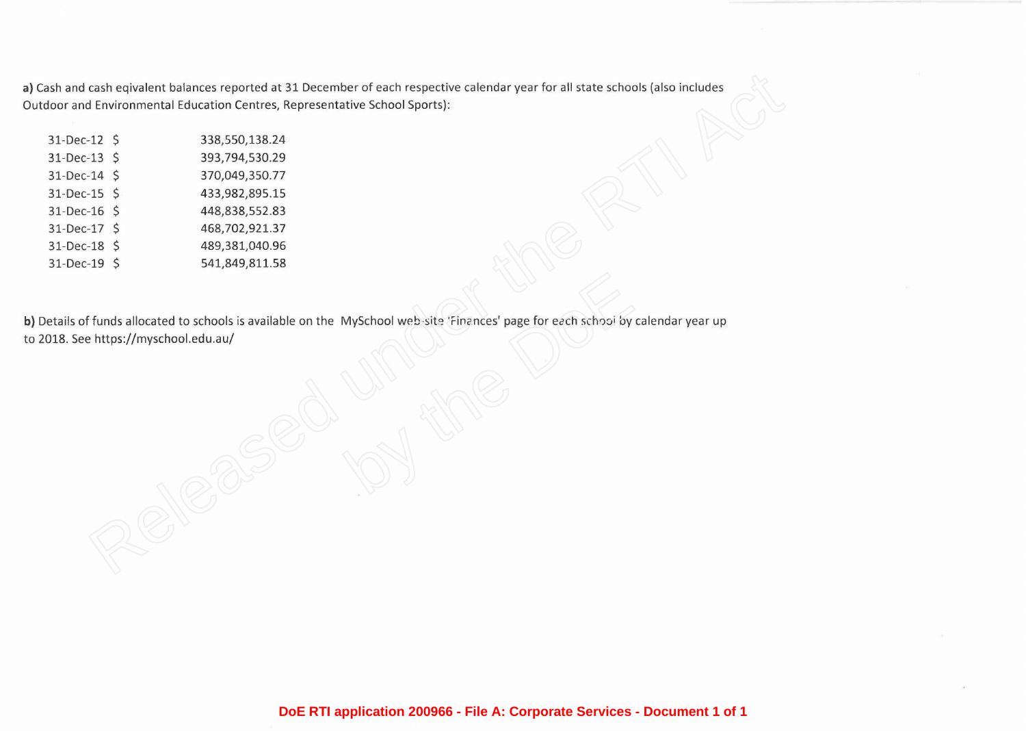| sh and cash eqivalent balances reported at 31 December of each respective calendar year for all state schools (also includes   |                                                                         |                    |
|--------------------------------------------------------------------------------------------------------------------------------|-------------------------------------------------------------------------|--------------------|
|                                                                                                                                | oor and Environmental Education Centres, Representative School Sports): |                    |
|                                                                                                                                |                                                                         |                    |
|                                                                                                                                | 338,550,138.24                                                          | 31-Dec-12 \$       |
|                                                                                                                                | 393,794,530.29                                                          | $31 - Dec - 13$ \$ |
|                                                                                                                                | 370,049,350.77                                                          | 31-Dec-14 \$       |
|                                                                                                                                | 433,982,895.15                                                          | 31-Dec-15 \$       |
|                                                                                                                                | 448,838,552.83                                                          | $31 - Dec - 16$ \$ |
|                                                                                                                                | 468,702,921.37                                                          | $31 - Dec-17$ \$   |
|                                                                                                                                | 489,381,040.96                                                          | 31-Dec-18 \$       |
|                                                                                                                                | 541,849,811.58                                                          | 31-Dec-19 \$       |
|                                                                                                                                |                                                                         |                    |
|                                                                                                                                |                                                                         |                    |
|                                                                                                                                |                                                                         |                    |
|                                                                                                                                |                                                                         |                    |
|                                                                                                                                |                                                                         |                    |
|                                                                                                                                |                                                                         |                    |
|                                                                                                                                |                                                                         |                    |
|                                                                                                                                |                                                                         |                    |
|                                                                                                                                |                                                                         |                    |
|                                                                                                                                |                                                                         |                    |
|                                                                                                                                |                                                                         |                    |
|                                                                                                                                |                                                                         |                    |
|                                                                                                                                |                                                                         |                    |
|                                                                                                                                |                                                                         |                    |
|                                                                                                                                |                                                                         |                    |
|                                                                                                                                |                                                                         |                    |
|                                                                                                                                |                                                                         |                    |
| etails of funds allocated to schools is available on the MySchool web-site 'Finances' page for each school by calendar year up | 18. See https://myschool.edu.au/                                        |                    |

**DoE RTI application 200966 - File A: Corporate Services - Document 1 of 1**